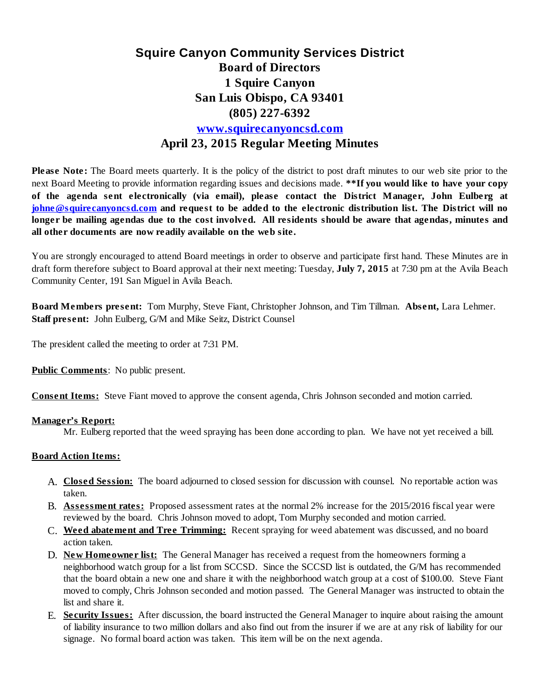## **Squire Canyon Community Services District Board of Directors 1 Squire Canyon San Luis Obispo, CA 93401 (805) 227-6392 [www.squirecanyoncsd.com](http://www.squirecanyoncsd.com/) April 23, 2015 Regular Meeting Minutes**

**Please Note:** The Board meets quarterly. It is the policy of the district to post draft minutes to our web site prior to the next Board Meeting to provide information regarding issues and decisions made. **\*\*If you would like to have your copy of the agenda sent electronically (via email), please contact the District Manager, John Eulberg at johne@squirecanyoncsd.com and request to be added to the electronic distribution list. The District will no** longer be mailing agendas due to the cost involved. All residents should be aware that agendas, minutes and **all other documents are now readily available on the web site.**

You are strongly encouraged to attend Board meetings in order to observe and participate first hand. These Minutes are in draft form therefore subject to Board approval at their next meeting: Tuesday, **July 7, 2015** at 7:30 pm at the Avila Beach Community Center, 191 San Miguel in Avila Beach.

**Board Members present:** Tom Murphy, Steve Fiant, Christopher Johnson, and Tim Tillman. **Absent,** Lara Lehmer. **Staff present:** John Eulberg, G/M and Mike Seitz, District Counsel

The president called the meeting to order at 7:31 PM.

**Public Comments**: No public present.

**Consent Items:** Steve Fiant moved to approve the consent agenda, Chris Johnson seconded and motion carried.

## **Manager's Report:**

Mr. Eulberg reported that the weed spraying has been done according to plan. We have not yet received a bill.

## **Board Action Items:**

- **Closed Session:** The board adjourned to closed session for discussion with counsel. No reportable action was A. taken.
- **Assessment rates:** Proposed assessment rates at the normal 2% increase for the 2015/2016 fiscal year were B. reviewed by the board. Chris Johnson moved to adopt, Tom Murphy seconded and motion carried.
- **Weed abatement and Tree Trimming:** Recent spraying for weed abatement was discussed, and no board C. action taken.
- **New Homeowner list:** The General Manager has received a request from the homeowners forming a D. neighborhood watch group for a list from SCCSD. Since the SCCSD list is outdated, the G/M has recommended that the board obtain a new one and share it with the neighborhood watch group at a cost of \$100.00. Steve Fiant moved to comply, Chris Johnson seconded and motion passed. The General Manager was instructed to obtain the list and share it.
- **Security Issues:** After discussion, the board instructed the General Manager to inquire about raising the amount E.of liability insurance to two million dollars and also find out from the insurer if we are at any risk of liability for our signage. No formal board action was taken. This item will be on the next agenda.